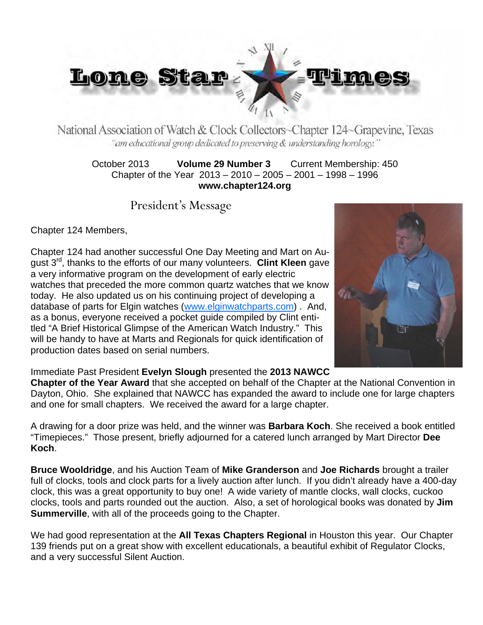

National Association of Watch & Clock Collectors~Chapter 124~Grapevine, Texas "am educational group dedicated to preserving & understanding horology."

October 2013 **Volume 29 Number 3** Current Membership: 450 Chapter of the Year 2013 – 2010 – 2005 – 2001 – 1998 – 1996 **www.chapter124.org** 

President's Message

Chapter 124 Members,

Chapter 124 had another successful One Day Meeting and Mart on August 3rd, thanks to the efforts of our many volunteers. **Clint Kleen** gave a very informative program on the development of early electric watches that preceded the more common quartz watches that we know today. He also updated us on his continuing project of developing a database of parts for Elgin watches (www.elginwatchparts.com) . And, as a bonus, everyone received a pocket guide compiled by Clint entitled "A Brief Historical Glimpse of the American Watch Industry." This will be handy to have at Marts and Regionals for quick identification of production dates based on serial numbers.



Immediate Past President **Evelyn Slough** presented the **2013 NAWCC** 

**Chapter of the Year Award** that she accepted on behalf of the Chapter at the National Convention in Dayton, Ohio. She explained that NAWCC has expanded the award to include one for large chapters and one for small chapters. We received the award for a large chapter.

A drawing for a door prize was held, and the winner was **Barbara Koch**. She received a book entitled "Timepieces." Those present, briefly adjourned for a catered lunch arranged by Mart Director **Dee Koch**.

**Bruce Wooldridge**, and his Auction Team of **Mike Granderson** and **Joe Richards** brought a trailer full of clocks, tools and clock parts for a lively auction after lunch. If you didn't already have a 400-day clock, this was a great opportunity to buy one! A wide variety of mantle clocks, wall clocks, cuckoo clocks, tools and parts rounded out the auction. Also, a set of horological books was donated by **Jim Summerville**, with all of the proceeds going to the Chapter.

We had good representation at the **All Texas Chapters Regional** in Houston this year. Our Chapter 139 friends put on a great show with excellent educationals, a beautiful exhibit of Regulator Clocks, and a very successful Silent Auction.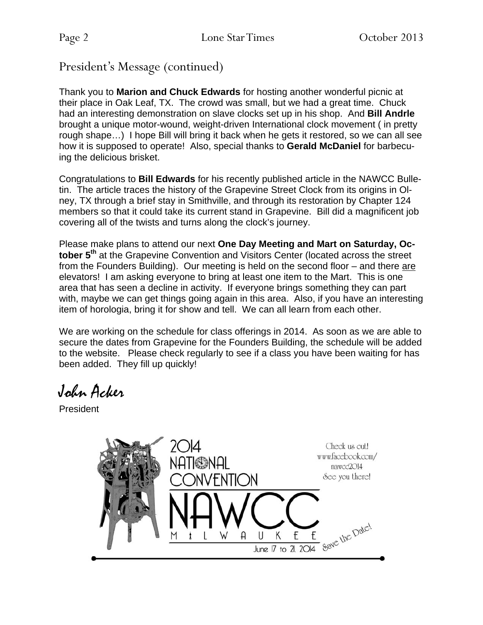President's Message (continued)

Thank you to **Marion and Chuck Edwards** for hosting another wonderful picnic at their place in Oak Leaf, TX. The crowd was small, but we had a great time. Chuck had an interesting demonstration on slave clocks set up in his shop. And **Bill Andrle** brought a unique motor-wound, weight-driven International clock movement ( in pretty rough shape…) I hope Bill will bring it back when he gets it restored, so we can all see how it is supposed to operate! Also, special thanks to **Gerald McDaniel** for barbecuing the delicious brisket.

Congratulations to **Bill Edwards** for his recently published article in the NAWCC Bulletin. The article traces the history of the Grapevine Street Clock from its origins in Olney, TX through a brief stay in Smithville, and through its restoration by Chapter 124 members so that it could take its current stand in Grapevine. Bill did a magnificent job covering all of the twists and turns along the clock's journey.

Please make plans to attend our next **One Day Meeting and Mart on Saturday, Oc**tober 5<sup>th</sup> at the Grapevine Convention and Visitors Center (located across the street from the Founders Building). Our meeting is held on the second floor – and there are elevators! I am asking everyone to bring at least one item to the Mart. This is one area that has seen a decline in activity. If everyone brings something they can part with, maybe we can get things going again in this area. Also, if you have an interesting item of horologia, bring it for show and tell. We can all learn from each other.

We are working on the schedule for class offerings in 2014. As soon as we are able to secure the dates from Grapevine for the Founders Building, the schedule will be added to the website. Please check regularly to see if a class you have been waiting for has been added. They fill up quickly!

John Acker

President

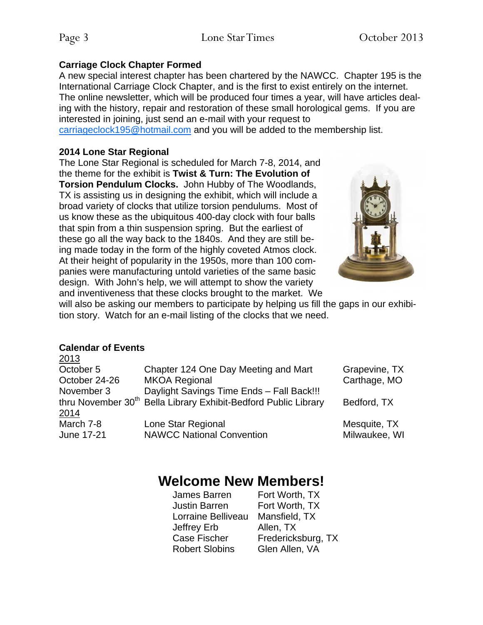#### **Carriage Clock Chapter Formed**

A new special interest chapter has been chartered by the NAWCC. Chapter 195 is the International Carriage Clock Chapter, and is the first to exist entirely on the internet. The online newsletter, which will be produced four times a year, will have articles dealing with the history, repair and restoration of these small horological gems. If you are interested in joining, just send an e-mail with your request to

carriageclock195@hotmail.com and you will be added to the membership list.

### **2014 Lone Star Regional**

The Lone Star Regional is scheduled for March 7-8, 2014, and the theme for the exhibit is **Twist & Turn: The Evolution of Torsion Pendulum Clocks.** John Hubby of The Woodlands, TX is assisting us in designing the exhibit, which will include a broad variety of clocks that utilize torsion pendulums. Most of us know these as the ubiquitous 400-day clock with four balls that spin from a thin suspension spring. But the earliest of these go all the way back to the 1840s. And they are still being made today in the form of the highly coveted Atmos clock. At their height of popularity in the 1950s, more than 100 companies were manufacturing untold varieties of the same basic design. With John's help, we will attempt to show the variety and inventiveness that these clocks brought to the market. We



will also be asking our members to participate by helping us fill the gaps in our exhibition story. Watch for an e-mail listing of the clocks that we need.

### **Calendar of Events**

| 2013          |                                                                             |               |
|---------------|-----------------------------------------------------------------------------|---------------|
| October 5     | Chapter 124 One Day Meeting and Mart                                        | Grapevine, TX |
| October 24-26 | <b>MKOA Regional</b>                                                        | Carthage, MO  |
| November 3    | Daylight Savings Time Ends - Fall Back!!!                                   |               |
|               | thru November 30 <sup>th</sup> Bella Library Exhibit-Bedford Public Library | Bedford, TX   |
| <u>2014</u>   |                                                                             |               |
| March 7-8     | Lone Star Regional                                                          | Mesquite, TX  |
| June 17-21    | <b>NAWCC National Convention</b>                                            | Milwaukee, WI |
|               |                                                                             |               |

## **Welcome New Members!**

| James Barren          | Fort Worth, TX     |
|-----------------------|--------------------|
| <b>Justin Barren</b>  | Fort Worth, TX     |
| Lorraine Belliveau    | Mansfield, TX      |
| Jeffrey Erb           | Allen, TX          |
| Case Fischer          | Fredericksburg, TX |
| <b>Robert Slobins</b> | Glen Allen, VA     |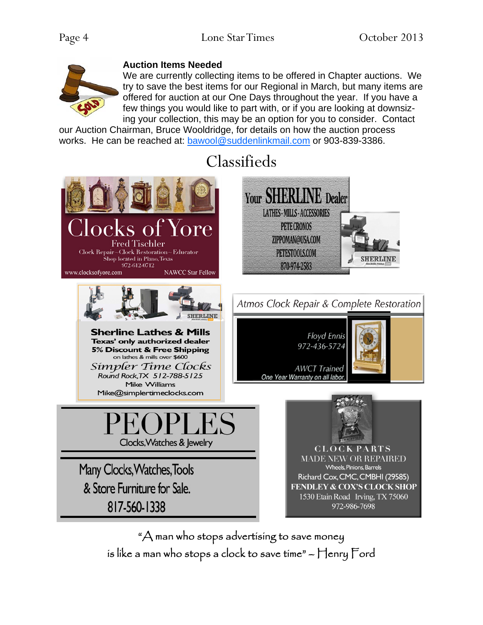

### **Auction Items Needed**

We are currently collecting items to be offered in Chapter auctions. We try to save the best items for our Regional in March, but many items are offered for auction at our One Days throughout the year. If you have a few things you would like to part with, or if you are looking at downsizing your collection, this may be an option for you to consider. Contact

our Auction Chairman, Bruce Wooldridge, for details on how the auction process works. He can be reached at: bawool@suddenlinkmail.com or 903-839-3386.

# Classifieds



"A man who stops advertising to save money is like a man who stops a clock to save time" – Henry Ford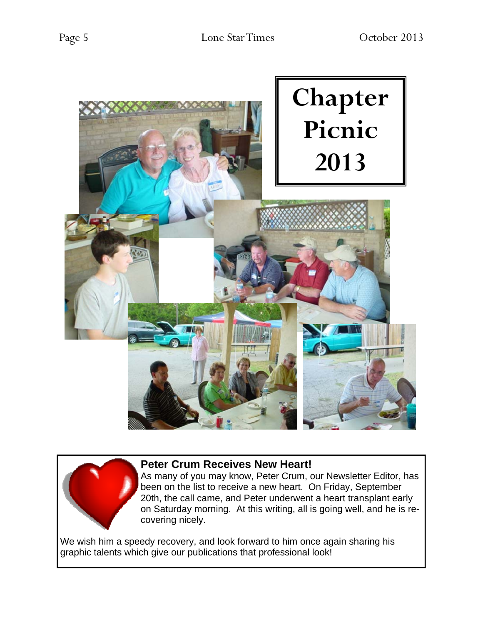



### **Peter Crum Receives New Heart!**

As many of you may know, Peter Crum, our Newsletter Editor, has been on the list to receive a new heart. On Friday, September 20th, the call came, and Peter underwent a heart transplant early on Saturday morning. At this writing, all is going well, and he is recovering nicely.

We wish him a speedy recovery, and look forward to him once again sharing his graphic talents which give our publications that professional look!